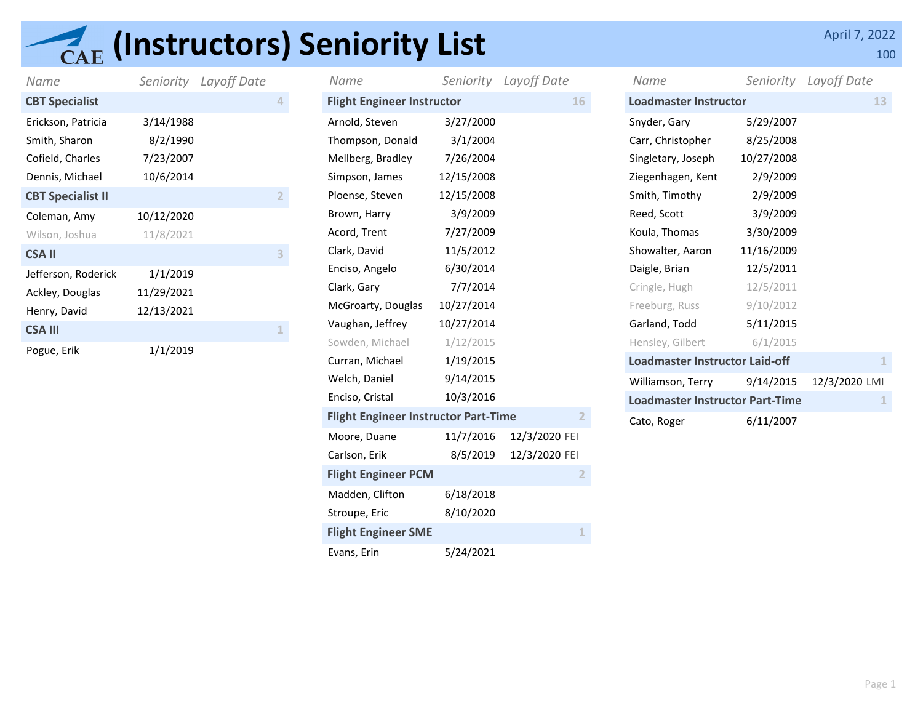## **(AE (Instructors) Seniority List** April 7, 2022

|                          |            | Layoff Date | Name                              | Seniority  | Layoff Date | Name                         | Seniority  | Layoff Date |
|--------------------------|------------|-------------|-----------------------------------|------------|-------------|------------------------------|------------|-------------|
| Name                     | Seniority  |             |                                   |            |             |                              |            |             |
| <b>CBT Specialist</b>    |            |             | <b>Flight Engineer Instructor</b> |            | 16          | <b>Loadmaster Instructor</b> |            |             |
| Erickson, Patricia       | 3/14/1988  |             | Arnold, Steven                    | 3/27/2000  |             | Snyder, Gary                 | 5/29/2007  |             |
| Smith, Sharon            | 8/2/1990   |             | Thompson, Donald                  | 3/1/2004   |             | Carr, Christopher            | 8/25/2008  |             |
| Cofield, Charles         | 7/23/2007  |             | Mellberg, Bradley                 | 7/26/2004  |             | Singletary, Joseph           | 10/27/2008 |             |
| Dennis, Michael          | 10/6/2014  |             | Simpson, James                    | 12/15/2008 |             | Ziegenhagen, Kent            | 2/9/2009   |             |
| <b>CBT Specialist II</b> |            |             | Ploense, Steven                   | 12/15/2008 |             | Smith, Timothy               | 2/9/2009   |             |
| Coleman, Amy             | 10/12/2020 |             | Brown, Harry                      | 3/9/2009   |             | Reed, Scott                  | 3/9/2009   |             |
| Wilson, Joshua           | 11/8/2021  |             | Acord, Trent                      | 7/27/2009  |             | Koula, Thomas                | 3/30/2009  |             |
| <b>CSAII</b>             |            |             | Clark, David                      | 11/5/2012  |             | Showalter, Aaron             | 11/16/2009 |             |
| Jefferson, Roderick      | 1/1/2019   |             | Enciso, Angelo                    | 6/30/2014  |             | Daigle, Brian                | 12/5/2011  |             |
| Ackley, Douglas          | 11/29/2021 |             | Clark, Gary                       | 7/7/2014   |             | Cringle, Hugh                | 12/5/2011  |             |
| Henry, David             | 12/13/2021 |             | McGroarty, Douglas                | 10/27/2014 |             | Freeburg, Russ               | 9/10/2012  |             |
| <b>CSA III</b>           |            |             | Vaughan, Jeffrey                  | 10/27/2014 |             | Garland, Todd                | 5/11/2015  |             |
| Pogue, Erik              | 1/1/2019   |             | Sowden, Michael                   | 1/12/2015  |             | Hensley, Gilbert             | 6/1/2015   |             |
|                          |            |             |                                   |            |             |                              |            |             |

| Name                                                          |            | Seniority Layoff Date |  |  |  |  |  |
|---------------------------------------------------------------|------------|-----------------------|--|--|--|--|--|
| <b>Flight Engineer Instructor</b>                             |            | 16                    |  |  |  |  |  |
| Arnold, Steven                                                | 3/27/2000  |                       |  |  |  |  |  |
| Thompson, Donald                                              | 3/1/2004   |                       |  |  |  |  |  |
| Mellberg, Bradley                                             | 7/26/2004  |                       |  |  |  |  |  |
| Simpson, James                                                | 12/15/2008 |                       |  |  |  |  |  |
| Ploense, Steven                                               | 12/15/2008 |                       |  |  |  |  |  |
| Brown, Harry                                                  | 3/9/2009   |                       |  |  |  |  |  |
| Acord, Trent                                                  | 7/27/2009  |                       |  |  |  |  |  |
| Clark, David                                                  | 11/5/2012  |                       |  |  |  |  |  |
| Enciso, Angelo                                                | 6/30/2014  |                       |  |  |  |  |  |
| Clark, Gary                                                   | 7/7/2014   |                       |  |  |  |  |  |
| McGroarty, Douglas                                            | 10/27/2014 |                       |  |  |  |  |  |
| Vaughan, Jeffrey                                              | 10/27/2014 |                       |  |  |  |  |  |
| Sowden, Michael                                               | 1/12/2015  |                       |  |  |  |  |  |
| Curran, Michael                                               | 1/19/2015  |                       |  |  |  |  |  |
| Welch, Daniel                                                 | 9/14/2015  |                       |  |  |  |  |  |
| Enciso, Cristal                                               | 10/3/2016  |                       |  |  |  |  |  |
| <b>Flight Engineer Instructor Part-Time</b><br>$\overline{2}$ |            |                       |  |  |  |  |  |
| Moore, Duane                                                  | 11/7/2016  | 12/3/2020 FEI         |  |  |  |  |  |
| Carlson, Erik                                                 | 8/5/2019   | 12/3/2020 FEI         |  |  |  |  |  |
| <b>Flight Engineer PCM</b>                                    |            | $\overline{2}$        |  |  |  |  |  |
| Madden, Clifton                                               | 6/18/2018  |                       |  |  |  |  |  |
| Stroupe, Eric                                                 | 8/10/2020  |                       |  |  |  |  |  |
| <b>Flight Engineer SME</b><br>1                               |            |                       |  |  |  |  |  |
| Evans, Erin                                                   | 5/24/2021  |                       |  |  |  |  |  |

| Name                                   |            | Seniority Layoff Date |
|----------------------------------------|------------|-----------------------|
| <b>Loadmaster Instructor</b>           | 13         |                       |
| Snyder, Gary                           | 5/29/2007  |                       |
| Carr, Christopher                      | 8/25/2008  |                       |
| Singletary, Joseph                     | 10/27/2008 |                       |
| Ziegenhagen, Kent                      | 2/9/2009   |                       |
| Smith, Timothy                         | 2/9/2009   |                       |
| Reed, Scott                            | 3/9/2009   |                       |
| Koula, Thomas                          | 3/30/2009  |                       |
| Showalter, Aaron                       | 11/16/2009 |                       |
| Daigle, Brian                          | 12/5/2011  |                       |
| Cringle, Hugh                          | 12/5/2011  |                       |
| Freeburg, Russ                         | 9/10/2012  |                       |
| Garland, Todd                          | 5/11/2015  |                       |
| Hensley, Gilbert                       | 6/1/2015   |                       |
| Loadmaster Instructor Laid-off         | 1          |                       |
| Williamson, Terry                      | 9/14/2015  | 12/3/2020 LMI         |
| <b>Loadmaster Instructor Part-Time</b> |            |                       |
| Cato, Roger                            | 6/11/2007  |                       |